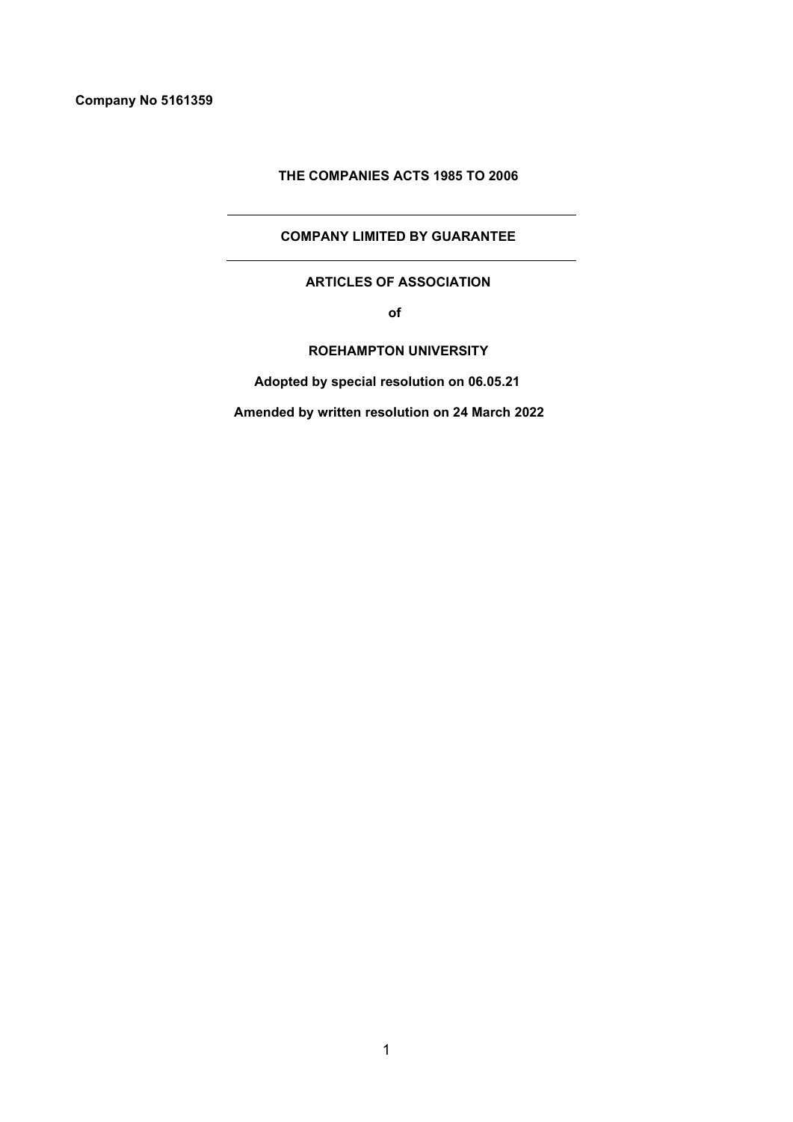# **THE COMPANIES ACTS 1985 TO 2006**

# **COMPANY LIMITED BY GUARANTEE**

# **ARTICLES OF ASSOCIATION**

 **of**

# **ROEHAMPTON UNIVERSITY**

 **Adopted by special resolution on 06.05.21**

 **Amended by written resolution on 24 March 2022**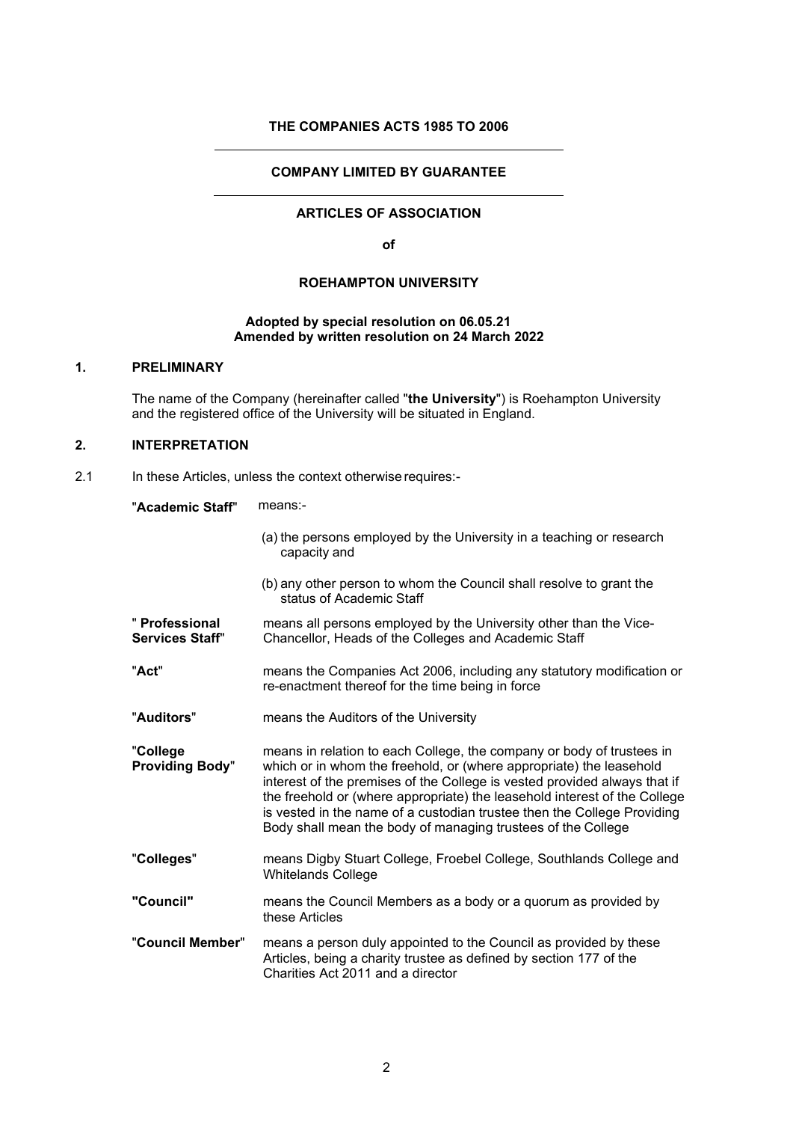# **THE COMPANIES ACTS 1985 TO 2006**

## **COMPANY LIMITED BY GUARANTEE**

# **ARTICLES OF ASSOCIATION**

**of** 

# **ROEHAMPTON UNIVERSITY**

## **Adopted by special resolution on 06.05.21 Amended by written resolution on 24 March 2022**

### **1. PRELIMINARY**

The name of the Company (hereinafter called "**the University**") is Roehampton University and the registered office of the University will be situated in England.

# **2. INTERPRETATION**

2.1 In these Articles, unless the context otherwise requires:-

"**Academic Staff**" means:-

|                                    | (a) the persons employed by the University in a teaching or research<br>capacity and                                                                                                                                                                                                                                                                                                                                                              |
|------------------------------------|---------------------------------------------------------------------------------------------------------------------------------------------------------------------------------------------------------------------------------------------------------------------------------------------------------------------------------------------------------------------------------------------------------------------------------------------------|
|                                    | (b) any other person to whom the Council shall resolve to grant the<br>status of Academic Staff                                                                                                                                                                                                                                                                                                                                                   |
| " Professional<br>Services Staff"  | means all persons employed by the University other than the Vice-<br>Chancellor, Heads of the Colleges and Academic Staff                                                                                                                                                                                                                                                                                                                         |
| "Act"                              | means the Companies Act 2006, including any statutory modification or<br>re-enactment thereof for the time being in force                                                                                                                                                                                                                                                                                                                         |
| "Auditors"                         | means the Auditors of the University                                                                                                                                                                                                                                                                                                                                                                                                              |
| "College<br><b>Providing Body"</b> | means in relation to each College, the company or body of trustees in<br>which or in whom the freehold, or (where appropriate) the leasehold<br>interest of the premises of the College is vested provided always that if<br>the freehold or (where appropriate) the leasehold interest of the College<br>is vested in the name of a custodian trustee then the College Providing<br>Body shall mean the body of managing trustees of the College |
| "Colleges"                         | means Digby Stuart College, Froebel College, Southlands College and<br><b>Whitelands College</b>                                                                                                                                                                                                                                                                                                                                                  |
| "Council"                          | means the Council Members as a body or a quorum as provided by<br>these Articles                                                                                                                                                                                                                                                                                                                                                                  |
| "Council Member"                   | means a person duly appointed to the Council as provided by these<br>Articles, being a charity trustee as defined by section 177 of the<br>Charities Act 2011 and a director                                                                                                                                                                                                                                                                      |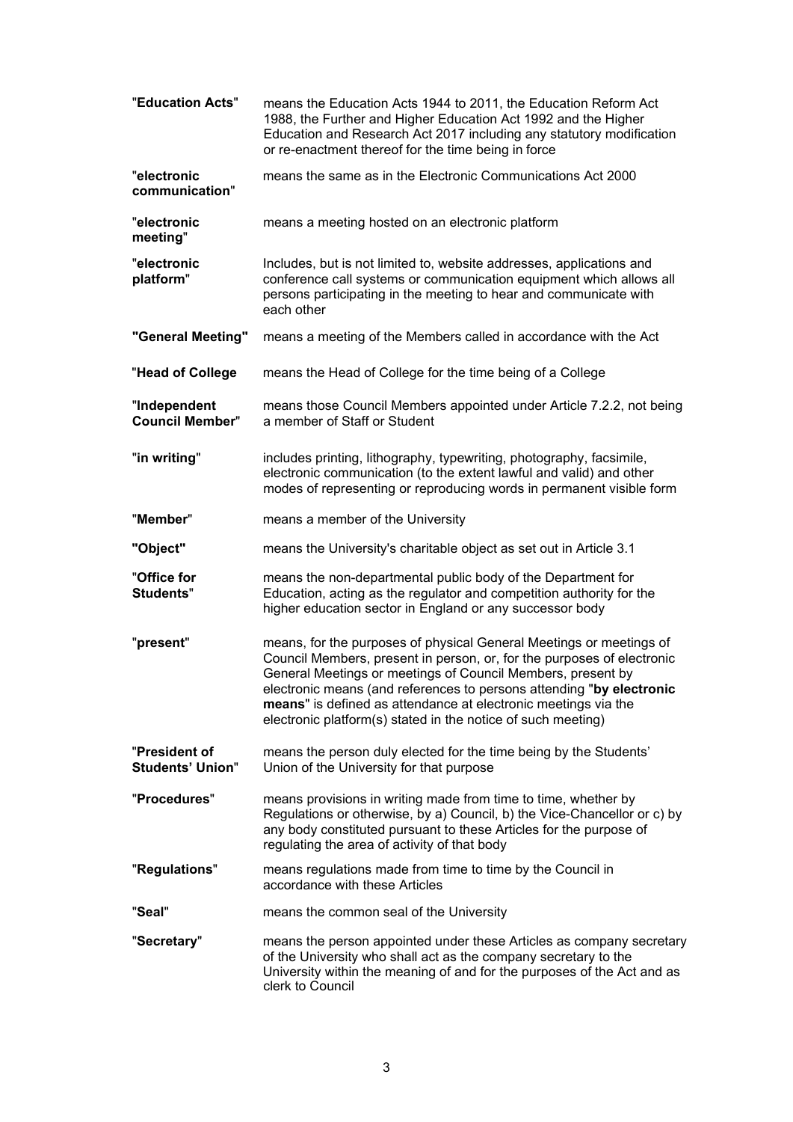| "Education Acts"                         | means the Education Acts 1944 to 2011, the Education Reform Act<br>1988, the Further and Higher Education Act 1992 and the Higher<br>Education and Research Act 2017 including any statutory modification<br>or re-enactment thereof for the time being in force                                                                                                                                                       |
|------------------------------------------|------------------------------------------------------------------------------------------------------------------------------------------------------------------------------------------------------------------------------------------------------------------------------------------------------------------------------------------------------------------------------------------------------------------------|
| "electronic<br>communication"            | means the same as in the Electronic Communications Act 2000                                                                                                                                                                                                                                                                                                                                                            |
| "electronic<br>meeting"                  | means a meeting hosted on an electronic platform                                                                                                                                                                                                                                                                                                                                                                       |
| "electronic<br>platform"                 | Includes, but is not limited to, website addresses, applications and<br>conference call systems or communication equipment which allows all<br>persons participating in the meeting to hear and communicate with<br>each other                                                                                                                                                                                         |
| "General Meeting"                        | means a meeting of the Members called in accordance with the Act                                                                                                                                                                                                                                                                                                                                                       |
| "Head of College                         | means the Head of College for the time being of a College                                                                                                                                                                                                                                                                                                                                                              |
| "Independent<br><b>Council Member"</b>   | means those Council Members appointed under Article 7.2.2, not being<br>a member of Staff or Student                                                                                                                                                                                                                                                                                                                   |
| "in writing"                             | includes printing, lithography, typewriting, photography, facsimile,<br>electronic communication (to the extent lawful and valid) and other<br>modes of representing or reproducing words in permanent visible form                                                                                                                                                                                                    |
| "Member"                                 | means a member of the University                                                                                                                                                                                                                                                                                                                                                                                       |
| "Object"                                 | means the University's charitable object as set out in Article 3.1                                                                                                                                                                                                                                                                                                                                                     |
| "Office for<br><b>Students"</b>          | means the non-departmental public body of the Department for<br>Education, acting as the regulator and competition authority for the<br>higher education sector in England or any successor body                                                                                                                                                                                                                       |
| "present"                                | means, for the purposes of physical General Meetings or meetings of<br>Council Members, present in person, or, for the purposes of electronic<br>General Meetings or meetings of Council Members, present by<br>electronic means (and references to persons attending "by electronic<br>means" is defined as attendance at electronic meetings via the<br>electronic platform(s) stated in the notice of such meeting) |
| "President of<br><b>Students' Union"</b> | means the person duly elected for the time being by the Students'<br>Union of the University for that purpose                                                                                                                                                                                                                                                                                                          |
| "Procedures"                             | means provisions in writing made from time to time, whether by<br>Regulations or otherwise, by a) Council, b) the Vice-Chancellor or c) by<br>any body constituted pursuant to these Articles for the purpose of<br>regulating the area of activity of that body                                                                                                                                                       |
| "Regulations"                            | means regulations made from time to time by the Council in<br>accordance with these Articles                                                                                                                                                                                                                                                                                                                           |
| "Seal"                                   | means the common seal of the University                                                                                                                                                                                                                                                                                                                                                                                |
| "Secretary"                              | means the person appointed under these Articles as company secretary<br>of the University who shall act as the company secretary to the<br>University within the meaning of and for the purposes of the Act and as<br>clerk to Council                                                                                                                                                                                 |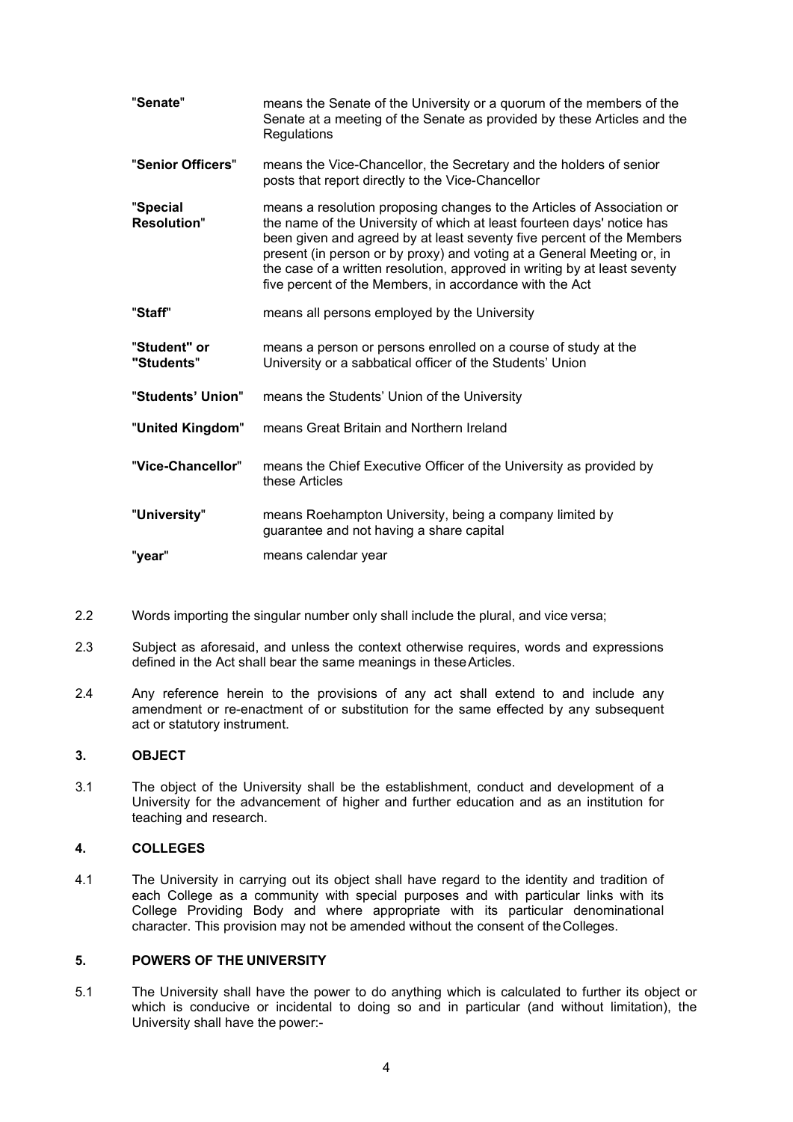| "Senate"                       | means the Senate of the University or a quorum of the members of the<br>Senate at a meeting of the Senate as provided by these Articles and the<br>Regulations                                                                                                                                                                                                                                                                              |
|--------------------------------|---------------------------------------------------------------------------------------------------------------------------------------------------------------------------------------------------------------------------------------------------------------------------------------------------------------------------------------------------------------------------------------------------------------------------------------------|
| "Senior Officers"              | means the Vice-Chancellor, the Secretary and the holders of senior<br>posts that report directly to the Vice-Chancellor                                                                                                                                                                                                                                                                                                                     |
| "Special<br><b>Resolution"</b> | means a resolution proposing changes to the Articles of Association or<br>the name of the University of which at least fourteen days' notice has<br>been given and agreed by at least seventy five percent of the Members<br>present (in person or by proxy) and voting at a General Meeting or, in<br>the case of a written resolution, approved in writing by at least seventy<br>five percent of the Members, in accordance with the Act |
| "Staff"                        | means all persons employed by the University                                                                                                                                                                                                                                                                                                                                                                                                |
| "Student" or<br>"Students"     | means a person or persons enrolled on a course of study at the<br>University or a sabbatical officer of the Students' Union                                                                                                                                                                                                                                                                                                                 |
| "Students' Union"              | means the Students' Union of the University                                                                                                                                                                                                                                                                                                                                                                                                 |
| "United Kingdom"               | means Great Britain and Northern Ireland                                                                                                                                                                                                                                                                                                                                                                                                    |
| "Vice-Chancellor"              | means the Chief Executive Officer of the University as provided by<br>these Articles                                                                                                                                                                                                                                                                                                                                                        |
| "University"                   | means Roehampton University, being a company limited by<br>guarantee and not having a share capital                                                                                                                                                                                                                                                                                                                                         |
| "year"                         | means calendar year                                                                                                                                                                                                                                                                                                                                                                                                                         |

- 2.2 Words importing the singular number only shall include the plural, and vice versa;
- 2.3 Subject as aforesaid, and unless the context otherwise requires, words and expressions defined in the Act shall bear the same meanings in theseArticles.
- 2.4 Any reference herein to the provisions of any act shall extend to and include any amendment or re-enactment of or substitution for the same effected by any subsequent act or statutory instrument.

### **3. OBJECT**

<span id="page-3-0"></span>3.1 The object of the University shall be the establishment, conduct and development of a University for the advancement of higher and further education and as an institution for teaching and research.

### **4. COLLEGES**

4.1 The University in carrying out its object shall have regard to the identity and tradition of each College as a community with special purposes and with particular links with its College Providing Body and where appropriate with its particular denominational character. This provision may not be amended without the consent of theColleges.

# <span id="page-3-1"></span>**5. POWERS OF THE UNIVERSITY**

5.1 The University shall have the power to do anything which is calculated to further its object or which is conducive or incidental to doing so and in particular (and without limitation), the University shall have the power:-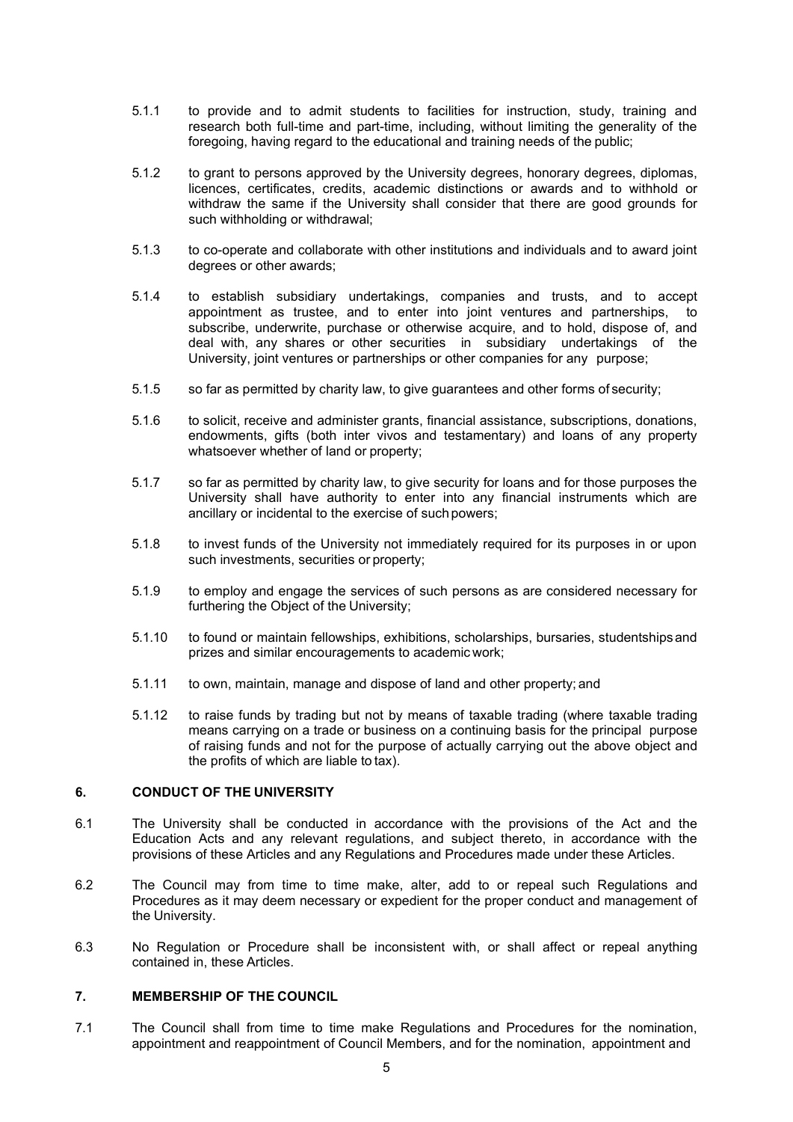- 5.1.1 to provide and to admit students to facilities for instruction, study, training and research both full-time and part-time, including, without limiting the generality of the foregoing, having regard to the educational and training needs of the public;
- 5.1.2 to grant to persons approved by the University degrees, honorary degrees, diplomas, licences, certificates, credits, academic distinctions or awards and to withhold or withdraw the same if the University shall consider that there are good grounds for such withholding or withdrawal;
- 5.1.3 to co-operate and collaborate with other institutions and individuals and to award joint degrees or other awards;
- 5.1.4 to establish subsidiary undertakings, companies and trusts, and to accept appointment as trustee, and to enter into joint ventures and partnerships, to subscribe, underwrite, purchase or otherwise acquire, and to hold, dispose of, and deal with, any shares or other securities in subsidiary undertakings of the University, joint ventures or partnerships or other companies for any purpose;
- 5.1.5 so far as permitted by charity law, to give guarantees and other forms of security;
- 5.1.6 to solicit, receive and administer grants, financial assistance, subscriptions, donations, endowments, gifts (both inter vivos and testamentary) and loans of any property whatsoever whether of land or property;
- 5.1.7 so far as permitted by charity law, to give security for loans and for those purposes the University shall have authority to enter into any financial instruments which are ancillary or incidental to the exercise of suchpowers;
- 5.1.8 to invest funds of the University not immediately required for its purposes in or upon such investments, securities or property;
- 5.1.9 to employ and engage the services of such persons as are considered necessary for furthering the Object of the University;
- 5.1.10 to found or maintain fellowships, exhibitions, scholarships, bursaries, studentshipsand prizes and similar encouragements to academic work;
- 5.1.11 to own, maintain, manage and dispose of land and other property; and
- 5.1.12 to raise funds by trading but not by means of taxable trading (where taxable trading means carrying on a trade or business on a continuing basis for the principal purpose of raising funds and not for the purpose of actually carrying out the above object and the profits of which are liable to tax).

## **6. CONDUCT OF THE UNIVERSITY**

- 6.1 The University shall be conducted in accordance with the provisions of the Act and the Education Acts and any relevant regulations, and subject thereto, in accordance with the provisions of these Articles and any Regulations and Procedures made under these Articles.
- 6.2 The Council may from time to time make, alter, add to or repeal such Regulations and Procedures as it may deem necessary or expedient for the proper conduct and management of the University.
- 6.3 No Regulation or Procedure shall be inconsistent with, or shall affect or repeal anything contained in, these Articles.

## <span id="page-4-0"></span>**7. MEMBERSHIP OF THE COUNCIL**

7.1 The Council shall from time to time make Regulations and Procedures for the nomination, appointment and reappointment of Council Members, and for the nomination, appointment and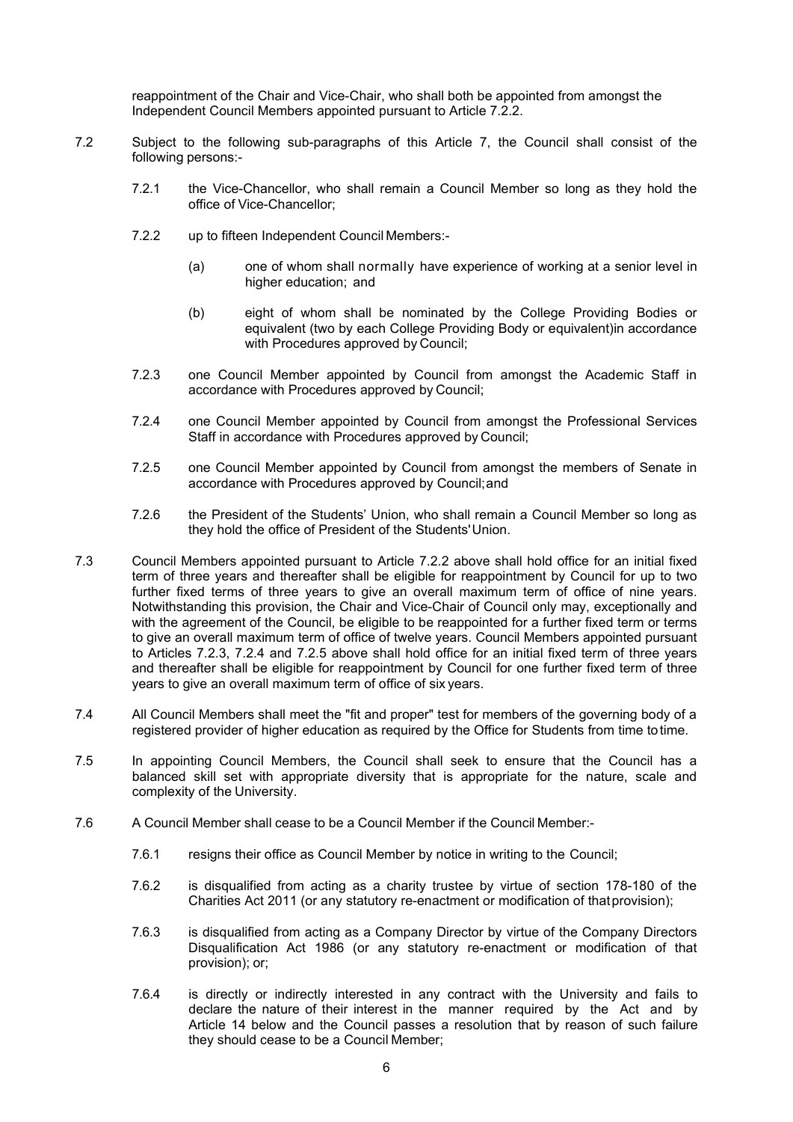reappointment of the Chair and Vice-Chair, who shall both be appointed from amongst the Independent Council Members appointed pursuant to Article 7.2.2.

- <span id="page-5-1"></span><span id="page-5-0"></span>7.2 Subject to the following sub-paragraphs of this Article [7,](#page-4-0) the Council shall consist of the following persons:-
	- 7.2.1 the Vice-Chancellor, who shall remain a Council Member so long as they hold the office of Vice-Chancellor;
	- 7.2.2 up to fifteen Independent Council Members:-
		- (a) one of whom shall normally have experience of working at a senior level in higher education; and
		- (b) eight of whom shall be nominated by the College Providing Bodies or equivalent (two by each College Providing Body or equivalent)in accordance with Procedures approved by Council;
	- 7.2.3 one Council Member appointed by Council from amongst the Academic Staff in accordance with Procedures approved by Council;
	- 7.2.4 one Council Member appointed by Council from amongst the Professional Services Staff in accordance with Procedures approved by Council;
	- 7.2.5 one Council Member appointed by Council from amongst the members of Senate in accordance with Procedures approved by Council;and
	- 7.2.6 the President of the Students' Union, who shall remain a Council Member so long as they hold the office of President of the Students'Union.
- 7.3 Council Members appointed pursuant to Article [7.2.2](#page-5-1) above shall hold office for an initial fixed term of three years and thereafter shall be eligible for reappointment by Council for up to two further fixed terms of three years to give an overall maximum term of office of nine years. Notwithstanding this provision, the Chair and Vice-Chair of Council only may, exceptionally and with the agreement of the Council, be eligible to be reappointed for a further fixed term or terms to give an overall maximum term of office of twelve years. Council Members appointed pursuant to Articles 7.2.3, 7.2.4 and 7.2.5 above shall hold office for an initial fixed term of three years and thereafter shall be eligible for reappointment by Council for one further fixed term of three years to give an overall maximum term of office of six years.
- 7.4 All Council Members shall meet the "fit and proper" test for members of the governing body of a registered provider of higher education as required by the Office for Students from time totime.
- 7.5 In appointing Council Members, the Council shall seek to ensure that the Council has a balanced skill set with appropriate diversity that is appropriate for the nature, scale and complexity of the University.
- 7.6 A Council Member shall cease to be a Council Member if the Council Member:-
	- 7.6.1 resigns their office as Council Member by notice in writing to the Council;
	- 7.6.2 is disqualified from acting as a charity trustee by virtue of section 178-180 of the Charities Act 2011 (or any statutory re-enactment or modification of thatprovision);
	- 7.6.3 is disqualified from acting as a Company Director by virtue of the Company Directors Disqualification Act 1986 (or any statutory re-enactment or modification of that provision); or;
	- 7.6.4 is directly or indirectly interested in any contract with the University and fails to declare the nature of their interest in the manner required by the Act and by Article 14 below and the Council passes a resolution that by reason of such failure they should cease to be a Council Member;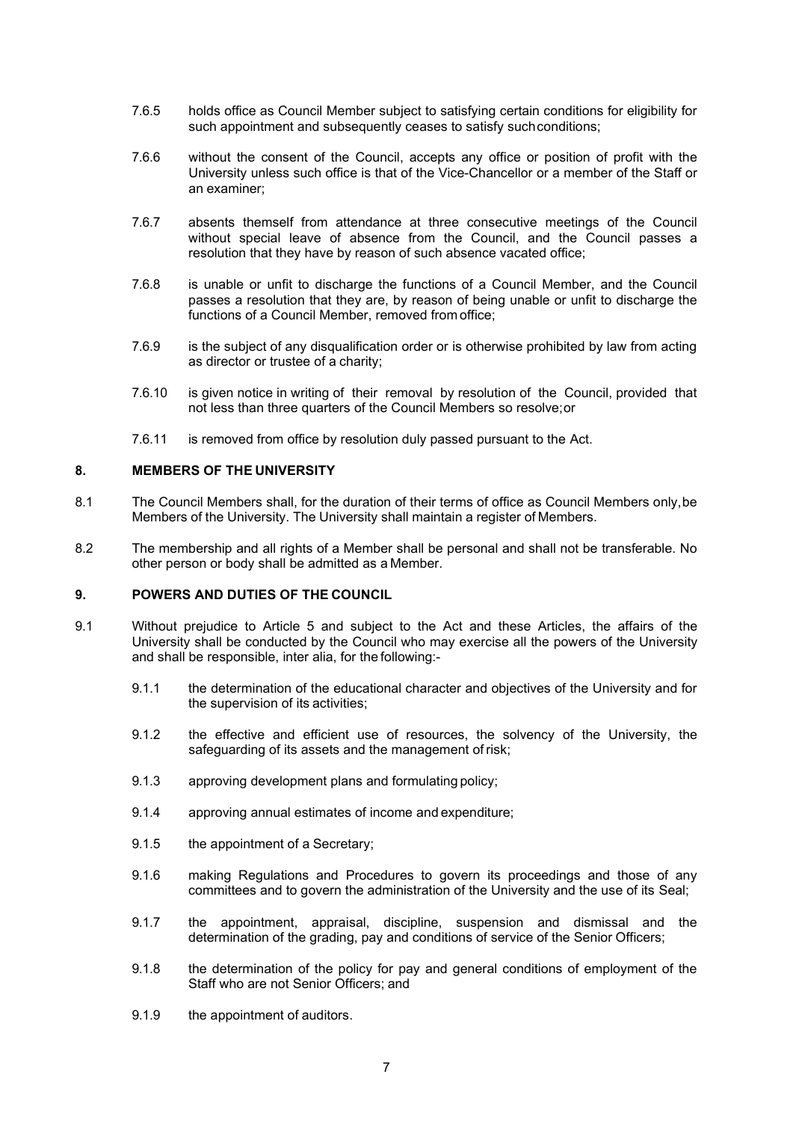- 7.6.5 holds office as Council Member subject to satisfying certain conditions for eligibility for such appointment and subsequently ceases to satisfy suchconditions;
- 7.6.6 without the consent of the Council, accepts any office or position of profit with the University unless such office is that of the Vice-Chancellor or a member of the Staff or an examiner;
- 7.6.7 absents themself from attendance at three consecutive meetings of the Council without special leave of absence from the Council, and the Council passes a resolution that they have by reason of such absence vacated office;
- 7.6.8 is unable or unfit to discharge the functions of a Council Member, and the Council passes a resolution that they are, by reason of being unable or unfit to discharge the functions of a Council Member, removed from office;
- 7.6.9 is the subject of any disqualification order or is otherwise prohibited by law from acting as director or trustee of a charity;
- 7.6.10 is given notice in writing of their removal by resolution of the Council, provided that not less than three quarters of the Council Members so resolve;or
- 7.6.11 is removed from office by resolution duly passed pursuant to the Act.

## **8. MEMBERS OF THE UNIVERSITY**

- 8.1 The Council Members shall, for the duration of their terms of office as Council Members only, be Members of the University. The University shall maintain a register of Members.
- 8.2 The membership and all rights of a Member shall be personal and shall not be transferable. No other person or body shall be admitted as a Member.

### **9. POWERS AND DUTIES OF THE COUNCIL**

- 9.1 Without prejudice to Article [5](#page-3-1) and subject to the Act and these Articles, the affairs of the University shall be conducted by the Council who may exercise all the powers of the University and shall be responsible, inter alia, for the following:-
	- 9.1.1 the determination of the educational character and objectives of the University and for the supervision of its activities;
	- 9.1.2 the effective and efficient use of resources, the solvency of the University, the safeguarding of its assets and the management of risk;
	- 9.1.3 approving development plans and formulating policy;
	- 9.1.4 approving annual estimates of income and expenditure;
	- 9.1.5 the appointment of a Secretary;
	- 9.1.6 making Regulations and Procedures to govern its proceedings and those of any committees and to govern the administration of the University and the use of its Seal;
	- 9.1.7 the appointment, appraisal, discipline, suspension and dismissal and the determination of the grading, pay and conditions of service of the Senior Officers;
	- 9.1.8 the determination of the policy for pay and general conditions of employment of the Staff who are not Senior Officers; and
	- 9.1.9 the appointment of auditors.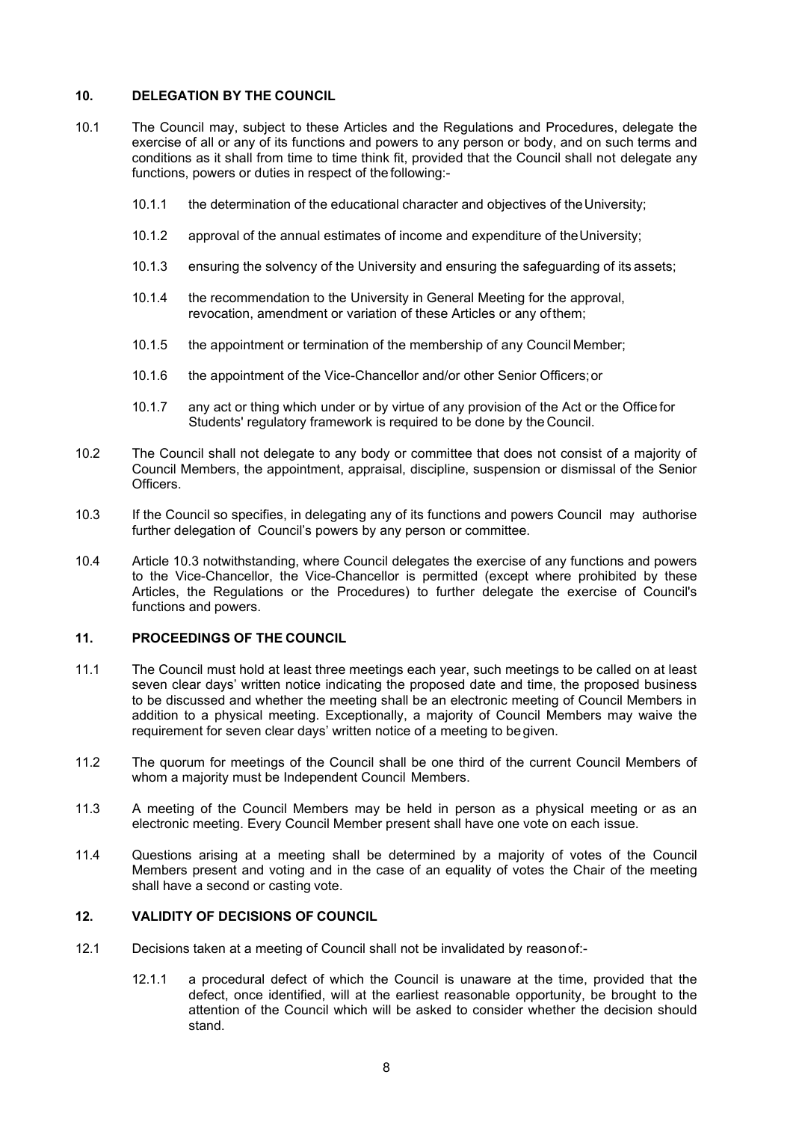## **10. DELEGATION BY THE COUNCIL**

- 10.1 The Council may, subject to these Articles and the Regulations and Procedures, delegate the exercise of all or any of its functions and powers to any person or body, and on such terms and conditions as it shall from time to time think fit, provided that the Council shall not delegate any functions, powers or duties in respect of the following:-
	- 10.1.1 the determination of the educational character and objectives of theUniversity;
	- 10.1.2 approval of the annual estimates of income and expenditure of theUniversity;
	- 10.1.3 ensuring the solvency of the University and ensuring the safeguarding of its assets;
	- 10.1.4 the recommendation to the University in General Meeting for the approval, revocation, amendment or variation of these Articles or any ofthem;
	- 10.1.5 the appointment or termination of the membership of any Council Member;
	- 10.1.6 the appointment of the Vice-Chancellor and/or other Senior Officers;or
	- 10.1.7 any act or thing which under or by virtue of any provision of the Act or the Office for Students' regulatory framework is required to be done by the Council.
- <span id="page-7-0"></span>10.2 The Council shall not delegate to any body or committee that does not consist of a majority of Council Members, the appointment, appraisal, discipline, suspension or dismissal of the Senior **Officers**
- 10.3 If the Council so specifies, in delegating any of its functions and powers Council may authorise further delegation of Council's powers by any person or committee.
- 10.4 Article 10.3 notwithstanding, where Council delegates the exercise of any functions and powers to the Vice-Chancellor, the Vice-Chancellor is permitted (except where prohibited by these Articles, the Regulations or the Procedures) to further delegate the exercise of Council's functions and powers.

# **11. PROCEEDINGS OF THE COUNCIL**

- 11.1 The Council must hold at least three meetings each year, such meetings to be called on at least seven clear days' written notice indicating the proposed date and time, the proposed business to be discussed and whether the meeting shall be an electronic meeting of Council Members in addition to a physical meeting. Exceptionally, a majority of Council Members may waive the requirement for seven clear days' written notice of a meeting to begiven.
- 11.2 The quorum for meetings of the Council shall be one third of the current Council Members of whom a majority must be Independent Council Members.
- 11.3 A meeting of the Council Members may be held in person as a physical meeting or as an electronic meeting. Every Council Member present shall have one vote on each issue.
- 11.4 Questions arising at a meeting shall be determined by a majority of votes of the Council Members present and voting and in the case of an equality of votes the Chair of the meeting shall have a second or casting vote.

## **12. VALIDITY OF DECISIONS OF COUNCIL**

- 12.1 Decisions taken at a meeting of Council shall not be invalidated by reasonof:-
	- 12.1.1 a procedural defect of which the Council is unaware at the time, provided that the defect, once identified, will at the earliest reasonable opportunity, be brought to the attention of the Council which will be asked to consider whether the decision should stand.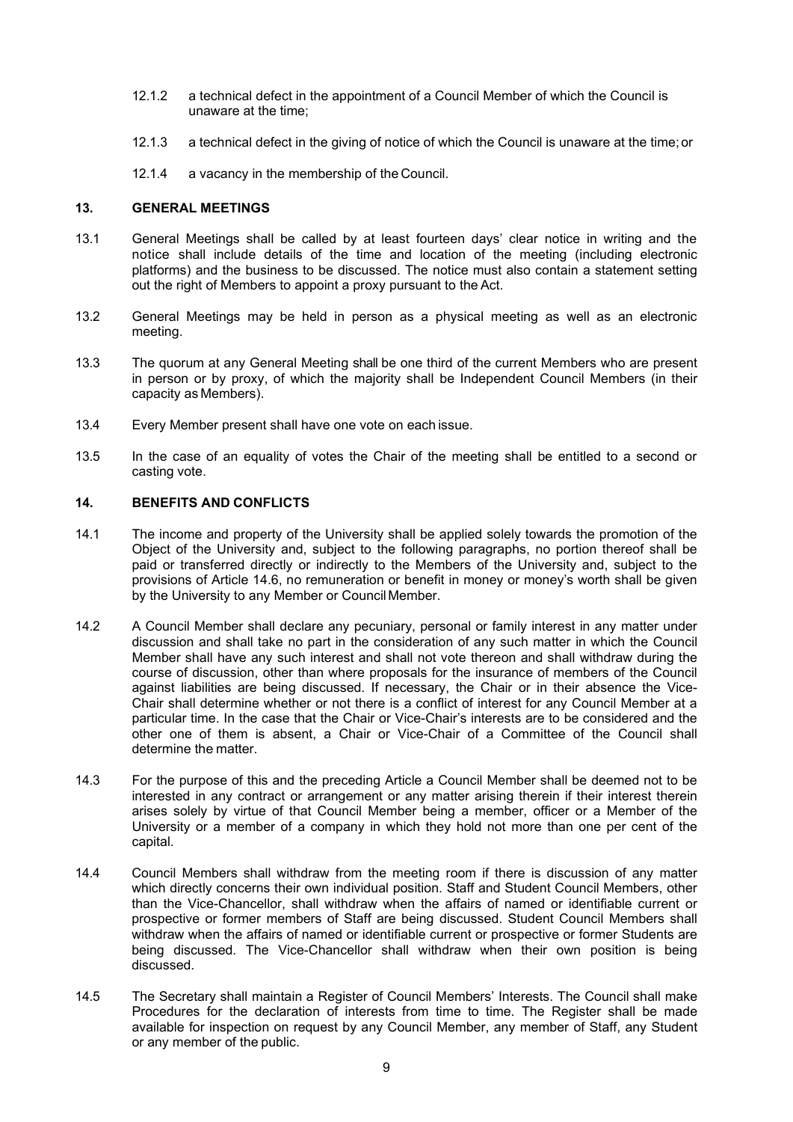- 12.1.2 a technical defect in the appointment of a Council Member of which the Council is unaware at the time;
- 12.1.3 a technical defect in the giving of notice of which the Council is unaware at the time;or
- 12.1.4 a vacancy in the membership of the Council.

## **13. GENERAL MEETINGS**

- 13.1 General Meetings shall be called by at least fourteen days' clear notice in writing and the notice shall include details of the time and location of the meeting (including electronic platforms) and the business to be discussed. The notice must also contain a statement setting out the right of Members to appoint a proxy pursuant to the Act.
- 13.2 General Meetings may be held in person as a physical meeting as well as an electronic meeting.
- 13.3 The quorum at any General Meeting shall be one third of the current Members who are present in person or by proxy, of which the majority shall be Independent Council Members (in their capacity as Members).
- 13.4 Every Member present shall have one vote on each issue.
- 13.5 In the case of an equality of votes the Chair of the meeting shall be entitled to a second or casting vote.

## **14. BENEFITS AND CONFLICTS**

- 14.1 The income and property of the University shall be applied solely towards the promotion of the Object of the University and, subject to the following paragraphs, no portion thereof shall be paid or transferred directly or indirectly to the Members of the University and, subject to the provisions of Article [14.6, n](#page-9-0)o remuneration or benefit in money or money's worth shall be given by the University to any Member or Council Member.
- 14.2 A Council Member shall declare any pecuniary, personal or family interest in any matter under discussion and shall take no part in the consideration of any such matter in which the Council Member shall have any such interest and shall not vote thereon and shall withdraw during the course of discussion, other than where proposals for the insurance of members of the Council against liabilities are being discussed. If necessary, the Chair or in their absence the Vice-Chair shall determine whether or not there is a conflict of interest for any Council Member at a particular time. In the case that the Chair or Vice-Chair's interests are to be considered and the other one of them is absent, a Chair or Vice-Chair of a Committee of the Council shall determine the matter.
- 14.3 For the purpose of this and the preceding Article a Council Member shall be deemed not to be interested in any contract or arrangement or any matter arising therein if their interest therein arises solely by virtue of that Council Member being a member, officer or a Member of the University or a member of a company in which they hold not more than one per cent of the capital.
- 14.4 Council Members shall withdraw from the meeting room if there is discussion of any matter which directly concerns their own individual position. Staff and Student Council Members, other than the Vice-Chancellor, shall withdraw when the affairs of named or identifiable current or prospective or former members of Staff are being discussed. Student Council Members shall withdraw when the affairs of named or identifiable current or prospective or former Students are being discussed. The Vice-Chancellor shall withdraw when their own position is being discussed.
- 14.5 The Secretary shall maintain a Register of Council Members' Interests. The Council shall make Procedures for the declaration of interests from time to time. The Register shall be made available for inspection on request by any Council Member, any member of Staff, any Student or any member of the public.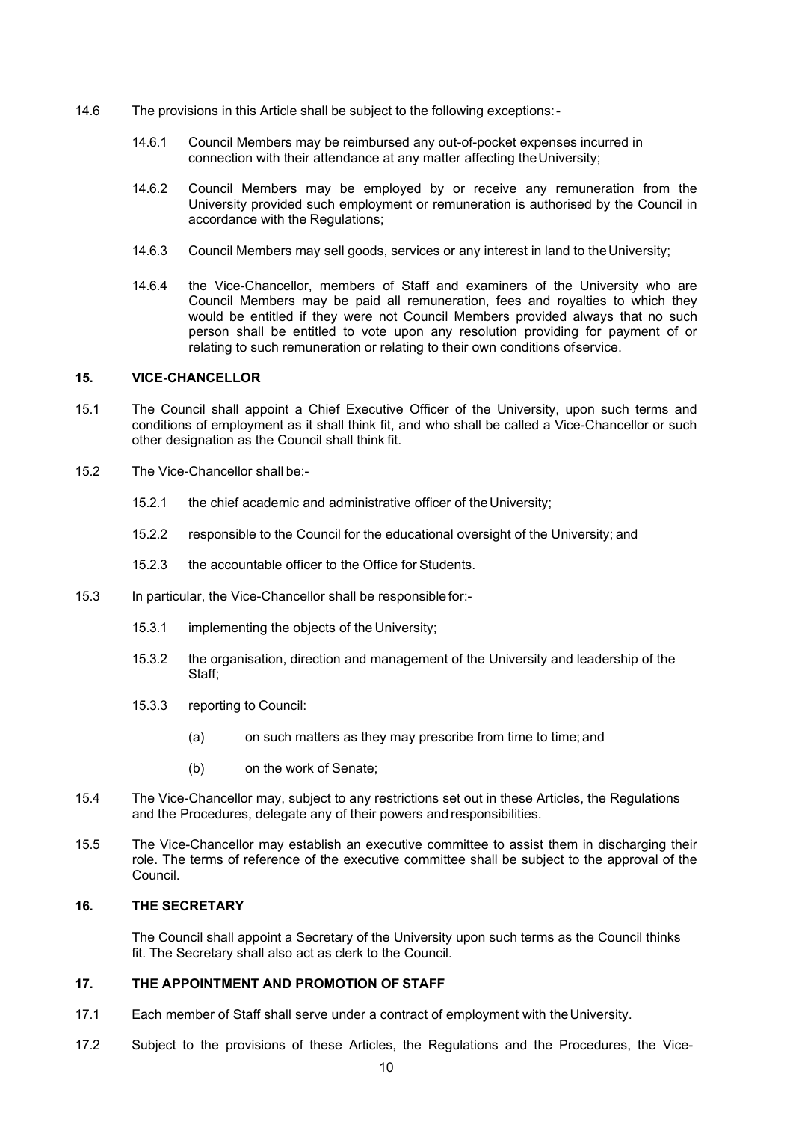- <span id="page-9-0"></span>14.6 The provisions in this Article shall be subject to the following exceptions:-
	- 14.6.1 Council Members may be reimbursed any out-of-pocket expenses incurred in connection with their attendance at any matter affecting theUniversity;
	- 14.6.2 Council Members may be employed by or receive any remuneration from the University provided such employment or remuneration is authorised by the Council in accordance with the Regulations;
	- 14.6.3 Council Members may sell goods, services or any interest in land to theUniversity;
	- 14.6.4 the Vice-Chancellor, members of Staff and examiners of the University who are Council Members may be paid all remuneration, fees and royalties to which they would be entitled if they were not Council Members provided always that no such person shall be entitled to vote upon any resolution providing for payment of or relating to such remuneration or relating to their own conditions ofservice.

#### **15. VICE-CHANCELLOR**

- 15.1 The Council shall appoint a Chief Executive Officer of the University, upon such terms and conditions of employment as it shall think fit, and who shall be called a Vice-Chancellor or such other designation as the Council shall think fit.
- 15.2 The Vice-Chancellor shall be:-
	- 15.2.1 the chief academic and administrative officer of the University;
	- 15.2.2 responsible to the Council for the educational oversight of the University; and
	- 15.2.3 the accountable officer to the Office for Students.
- 15.3 In particular, the Vice-Chancellor shall be responsible for:-
	- 15.3.1 implementing the objects of the University;
	- 15.3.2 the organisation, direction and management of the University and leadership of the Staff;
	- 15.3.3 reporting to Council:
		- (a) on such matters as they may prescribe from time to time; and
		- (b) on the work of Senate;
- 15.4 The Vice-Chancellor may, subject to any restrictions set out in these Articles, the Regulations and the Procedures, delegate any of their powers and responsibilities.
- 15.5 The Vice-Chancellor may establish an executive committee to assist them in discharging their role. The terms of reference of the executive committee shall be subject to the approval of the Council.

## **16. THE SECRETARY**

The Council shall appoint a Secretary of the University upon such terms as the Council thinks fit. The Secretary shall also act as clerk to the Council.

### **17. THE APPOINTMENT AND PROMOTION OF STAFF**

- 17.1 Each member of Staff shall serve under a contract of employment with theUniversity.
- 17.2 Subject to the provisions of these Articles, the Regulations and the Procedures, the Vice-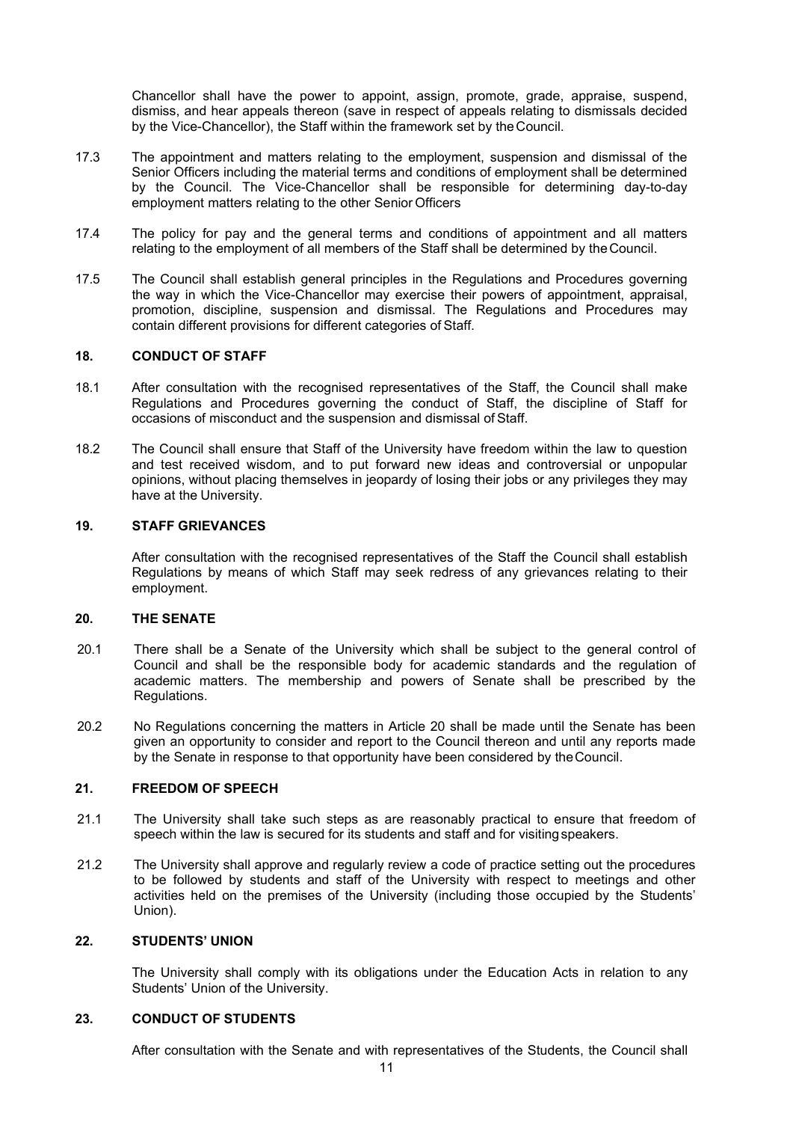Chancellor shall have the power to appoint, assign, promote, grade, appraise, suspend, dismiss, and hear appeals thereon (save in respect of appeals relating to dismissals decided by the Vice-Chancellor), the Staff within the framework set by theCouncil.

- 17.3 The appointment and matters relating to the employment, suspension and dismissal of the Senior Officers including the material terms and conditions of employment shall be determined by the Council. The Vice-Chancellor shall be responsible for determining day-to-day employment matters relating to the other Senior Officers
- 17.4 The policy for pay and the general terms and conditions of appointment and all matters relating to the employment of all members of the Staff shall be determined by theCouncil.
- 17.5 The Council shall establish general principles in the Regulations and Procedures governing the way in which the Vice-Chancellor may exercise their powers of appointment, appraisal, promotion, discipline, suspension and dismissal. The Regulations and Procedures may contain different provisions for different categories of Staff.

### **18. CONDUCT OF STAFF**

- 18.1 After consultation with the recognised representatives of the Staff, the Council shall make Regulations and Procedures governing the conduct of Staff, the discipline of Staff for occasions of misconduct and the suspension and dismissal ofStaff.
- 18.2 The Council shall ensure that Staff of the University have freedom within the law to question and test received wisdom, and to put forward new ideas and controversial or unpopular opinions, without placing themselves in jeopardy of losing their jobs or any privileges they may have at the University.

### **19. STAFF GRIEVANCES**

After consultation with the recognised representatives of the Staff the Council shall establish Regulations by means of which Staff may seek redress of any grievances relating to their employment.

# **20. THE SENATE**

- 20.1 There shall be a Senate of the University which shall be subject to the general control of Council and shall be the responsible body for academic standards and the regulation of academic matters. The membership and powers of Senate shall be prescribed by the Regulations.
- 20.2 No Regulations concerning the matters in Article 20 shall be made until the Senate has been given an opportunity to consider and report to the Council thereon and until any reports made by the Senate in response to that opportunity have been considered by theCouncil.

### **21. FREEDOM OF SPEECH**

- 21.1 The University shall take such steps as are reasonably practical to ensure that freedom of speech within the law is secured for its students and staff and for visitingspeakers.
- 21.2 The University shall approve and regularly review a code of practice setting out the procedures to be followed by students and staff of the University with respect to meetings and other activities held on the premises of the University (including those occupied by the Students' Union).

### **22. STUDENTS' UNION**

The University shall comply with its obligations under the Education Acts in relation to any Students' Union of the University.

## **23. CONDUCT OF STUDENTS**

After consultation with the Senate and with representatives of the Students, the Council shall